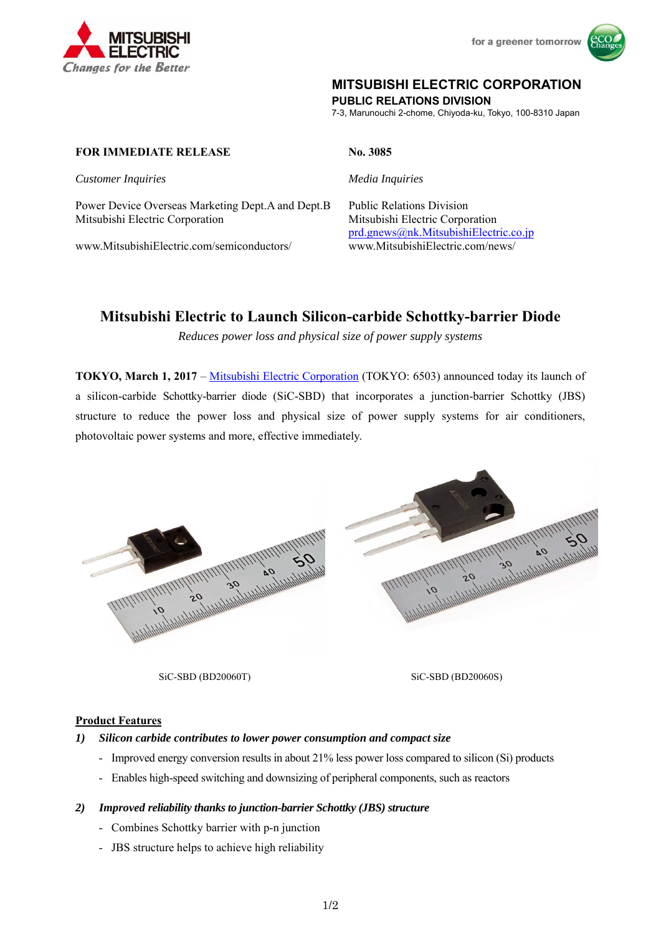



## **MITSUBISHI ELECTRIC CORPORATION**

**PUBLIC RELATIONS DIVISION** 

7-3, Marunouchi 2-chome, Chiyoda-ku, Tokyo, 100-8310 Japan

### **FOR IMMEDIATE RELEASE No. 3085**

**Customer Inquiries** Media Inquiries

Power Device Overseas Marketing Dept.A and Dept.B Public Relations Division Mitsubishi Electric Corporation Mitsubishi Electric Corporation

www.MitsubishiElectric.com/semiconductors/ www.MitsubishiElectric.com/news/

prd.gnews@nk.MitsubishiElectric.co.jp

# **Mitsubishi Electric to Launch Silicon-carbide Schottky-barrier Diode**

*Reduces power loss and physical size of power supply systems* 

**TOKYO, March 1, 2017** – Mitsubishi Electric Corporation (TOKYO: 6503) announced today its launch of a silicon-carbide Schottky-barrier diode (SiC-SBD) that incorporates a junction-barrier Schottky (JBS) structure to reduce the power loss and physical size of power supply systems for air conditioners, photovoltaic power systems and more, effective immediately.



SiC-SBD (BD20060T) SiC-SBD (BD20060S)

#### **Product Features**

#### *1) Silicon carbide contributes to lower power consumption and compact size*

- Improved energy conversion results in about 21% less power loss compared to silicon (Si) products
- Enables high-speed switching and downsizing of peripheral components, such as reactors

#### *2) Improved reliability thanks to junction-barrier Schottky (JBS) structure*

- Combines Schottky barrier with p-n junction
- JBS structure helps to achieve high reliability